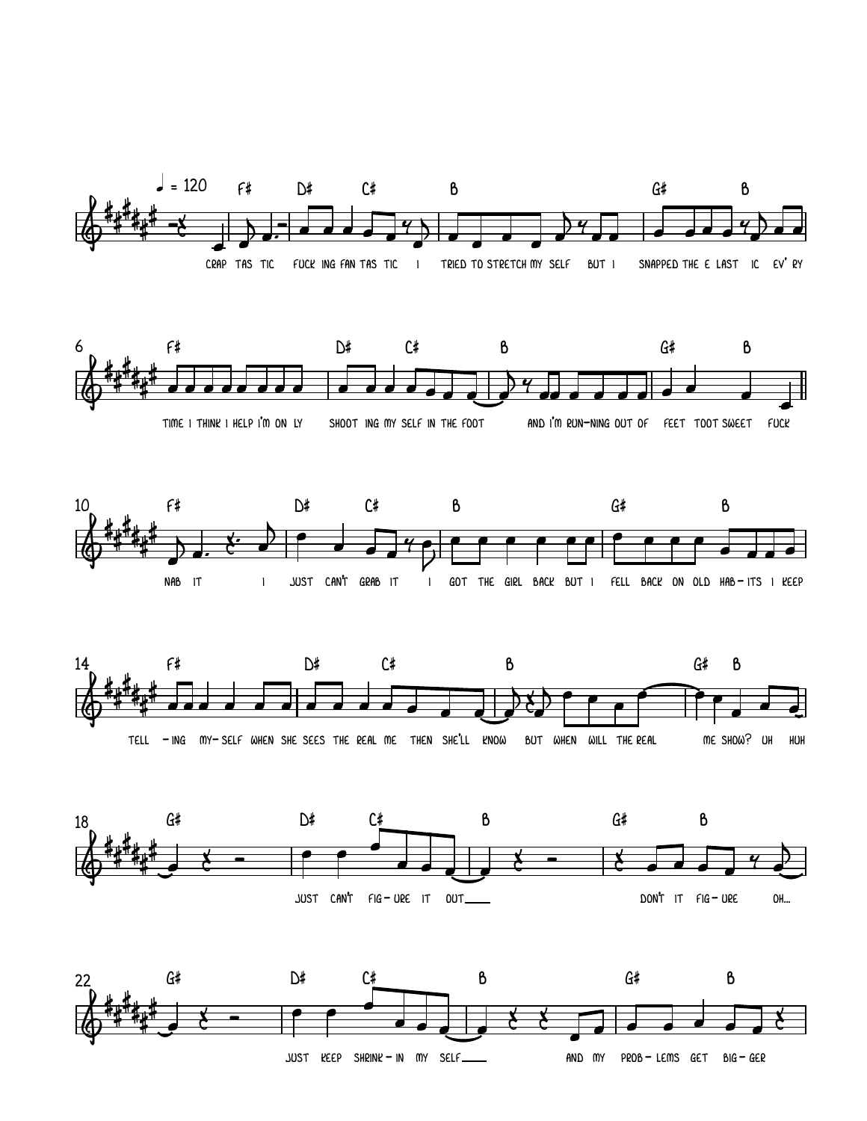

JUST REEP SHRINK - IN MY SELF

AND MY PROB-LEMS GET BIG-GER